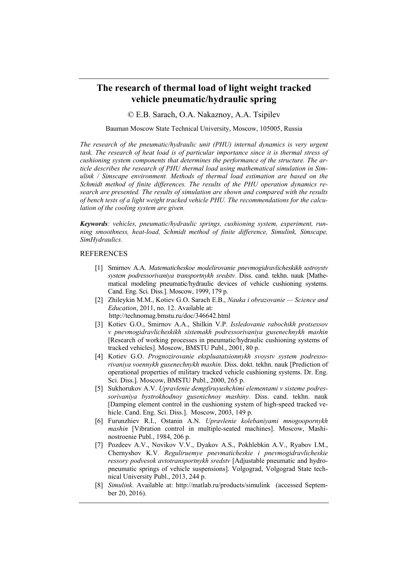## **The research of thermal load of light weight tracked vehicle pneumatic/hydraulic spring**

© E.B. Sarach, O.A. Nakaznoy, A.A. Tsipilev

## Bauman Moscow State Technical University, Moscow, 105005, Russia

*The research of the pneumatic/hydraulic unit (PHU) internal dynamics is very urgent task. The research of heat load is of particular importance since it is thermal stress of cushioning system components that determines the performance of the structure. The article describes the research of PHU thermal load using mathematical simulation in Simulink / Simscape environment. Methods of thermal load estimation are based on the Schmidt method of finite differences. The results of the PHU operation dynamics research are presented. The results of simulation are shown and compared with the results of bench tests of a light weight tracked vehicle PHU. The recommendations for the calculation of the cooling system are given.* 

*Keywords: vehicles, pneumatic/hydraulic springs, cushioning system, experiment, running smoothness, heat-load, Schmidt method of finite difference, Simulink, Simscape, SimHydraulics.* 

## REFERENCES

- Smirnov A.A. *Matematicheskoe modelirovanie pnevmogidravlicheskikh ustroystv system podressorivaniya transportnykh sredstv.* Diss. cand. tekhn. nauk [Mathematical modeling pneumatic/hydraulic devices of vehicle cushioning systems. Cand. Eng. Sci. Diss.]. Moscow, 1999, 179 p.
- Zhileykin M.M., Kotiev G.O. Sarach E.B., *Nauka i obrazovanie Science and Education*, 2011, no. 12. Available at: http://technomag.bmstu.ru/doc/346642.html
- Kotiev G.O., Smirnov A.A., Shilkin V.P. *Issledovanie rabochikh protsessov v pnevmogidravlicheskikh sistemakh podressorivaniya gusenechnykh mashin*  [Research of working processes in pneumatic/hydraulic cushioning systems of tracked vehicles]. Moscow, BMSTU Publ., 2001, 80 p.
- [4] Kotiev G.O. Prognozirovanie ekspluatatsionnykh svoystv system podresso*rivaniya voennykh gusenechnykh mashin.* Diss. dokt. tekhn. nauk [Prediction of operational properties of military tracked vehicle cushioning systems. Dr. Eng. Sci. Diss.]. Moscow, BMSTU Publ., 2000, 265 p.
- Sukhorukov A.V. *Upravlenie dempfiruyushchimi elementami v sisteme podressorivaniya bystrokhodnoy gusenichnoy mashiny.* Diss. cand. tekhn. nauk [Damping element control in the cushioning system of high-speed tracked vehicle. Cand. Eng. Sci. Diss.]. Moscow, 2003, 149 p.
- Furunzhiev R.I., Ostanin A.N. *Upravlenie kolebaniyami mnogoopornykh mashin* [Vibration control in multiple-seated machines]. Moscow, Mashinostroenie Publ., 1984, 206 p.
- Pozdeev A.V., Novikov V.V., Dyakov A.S., Pokhlebkin A.V., Ryabov I.M., Chernyshov K.V*. Reguliruemye pnevmaticheskie i pnevmogidravlicheskie ressory podvesok avtotransportnykh sredstv* [Adjustable pneumatic and hydropneumatic springs of vehicle suspensions]. Volgograd, Volgograd State technical University Publ., 2013, 244 p.
- *Simulink*. Available at: http://matlab.ru/products/simulink (accessed September 20, 2016).